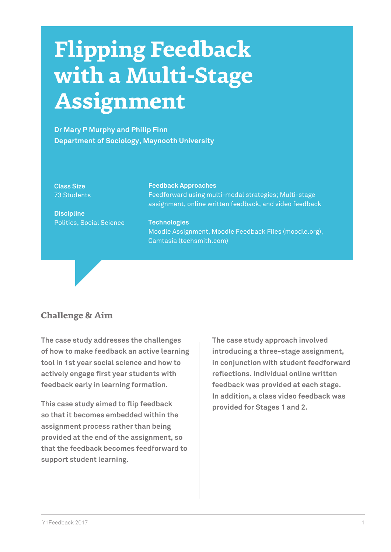# **Flipping Feedback with a Multi-Stage Assignment**

**Dr Mary P Murphy and Philip Finn Department of Sociology, Maynooth University**

#### **Class Size**  73 Students

**Discipline** Politics, Social Science

## **Feedback Approaches**

Feedforward using multi-modal strategies; Multi-stage assignment, online written feedback, and video feedback

**Technologies** 

Moodle Assignment, Moodle Feedback Files (moodle.org), Camtasia (techsmith.com)

## **Challenge & Aim**

**The case study addresses the challenges of how to make feedback an active learning tool in 1st year social science and how to actively engage first year students with feedback early in learning formation.**

**This case study aimed to flip feedback so that it becomes embedded within the assignment process rather than being provided at the end of the assignment, so that the feedback becomes feedforward to support student learning.** 

**The case study approach involved introducing a three-stage assignment, in conjunction with student feedforward reflections. Individual online written feedback was provided at each stage. In addition, a class video feedback was provided for Stages 1 and 2.**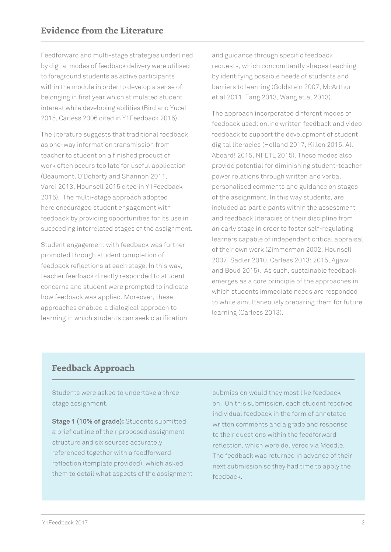Feedforward and multi-stage strategies underlined by digital modes of feedback delivery were utilised to foreground students as active participants within the module in order to develop a sense of belonging in first year which stimulated student interest while developing abilities (Bird and Yucel 2015, Carless 2006 cited in Y1Feedback 2016).

The literature suggests that traditional feedback as one-way information transmission from teacher to student on a finished product of work often occurs too late for useful application (Beaumont, O'Doherty and Shannon 2011, Vardi 2013, Hounsell 2015 cited in Y1Feedback 2016). The multi-stage approach adopted here encouraged student engagement with feedback by providing opportunities for its use in succeeding interrelated stages of the assignment.

Student engagement with feedback was further promoted through student completion of feedback reflections at each stage. In this way, teacher feedback directly responded to student concerns and student were prompted to indicate how feedback was applied. Moreover, these approaches enabled a dialogical approach to learning in which students can seek clarification

and guidance through specific feedback requests, which concomitantly shapes teaching by identifying possible needs of students and barriers to learning (Goldstein 2007, McArthur et.al 2011, Tang 2013, Wang et.al 2013).

The approach incorporated different modes of feedback used: online written feedback and video feedback to support the development of student digital literacies (Holland 2017, Killen 2015, All Aboard! 2015, NFETL 2015). These modes also provide potential for diminishing student-teacher power relations through written and verbal personalised comments and guidance on stages of the assignment. In this way students, are included as participants within the assessment and feedback literacies of their discipline from an early stage in order to foster self-regulating learners capable of independent critical appraisal of their own work (Zimmerman 2002, Hounsell 2007, Sadler 2010, Carless 2013; 2015, Ajjawi and Boud 2015). As such, sustainable feedback emerges as a core principle of the approaches in which students immediate needs are responded to while simultaneously preparing them for future learning (Carless 2013).

# **Feedback Approach**

Students were asked to undertake a threestage assignment.

**Stage 1 (10% of grade):** Students submitted a brief outline of their proposed assignment structure and six sources accurately referenced together with a feedforward reflection (template provided), which asked them to detail what aspects of the assignment submission would they most like feedback on. On this submission, each student received individual feedback in the form of annotated written comments and a grade and response to their questions within the feedforward reflection, which were delivered via Moodle. The feedback was returned in advance of their next submission so they had time to apply the feedback.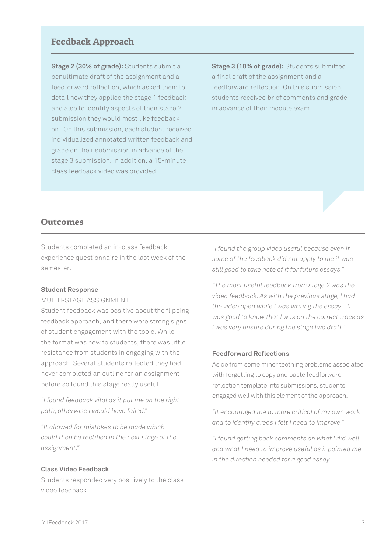## **Feedback Approach**

**Stage 2 (30% of grade):** Students submit a penultimate draft of the assignment and a feedforward reflection, which asked them to detail how they applied the stage 1 feedback and also to identify aspects of their stage 2 submission they would most like feedback on. On this submission, each student received individualized annotated written feedback and grade on their submission in advance of the stage 3 submission. In addition, a 15-minute class feedback video was provided.

**Stage 3 (10% of grade):** Students submitted a final draft of the assignment and a feedforward reflection. On this submission, students received brief comments and grade in advance of their module exam.

## **Outcomes**

Students completed an in-class feedback experience questionnaire in the last week of the semester.

#### **Student Response**

MUL TI-STAGE ASSIGNMENT

Student feedback was positive about the flipping feedback approach, and there were strong signs of student engagement with the topic. While the format was new to students, there was little resistance from students in engaging with the approach. Several students reflected they had never completed an outline for an assignment before so found this stage really useful.

*"I found feedback vital as it put me on the right path, otherwise I would have failed."*

*"It allowed for mistakes to be made which could then be rectified in the next stage of the assignment."*

#### **Class Video Feedback**

Students responded very positively to the class video feedback.

*"I found the group video useful because even if some of the feedback did not apply to me it was still good to take note of it for future essays."*

*"The most useful feedback from stage 2 was the video feedback. As with the previous stage, I had the video open while I was writing the essay... It was good to know that I was on the correct track as I was very unsure during the stage two draft."*

#### **Feedforward Reflections**

Aside from some minor teething problems associated with forgetting to copy and paste feedforward reflection template into submissions, students engaged well with this element of the approach.

*"It encouraged me to more critical of my own work and to identify areas I felt I need to improve."*

*"I found getting back comments on what I did well and what I need to improve useful as it pointed me in the direction needed for a good essay."*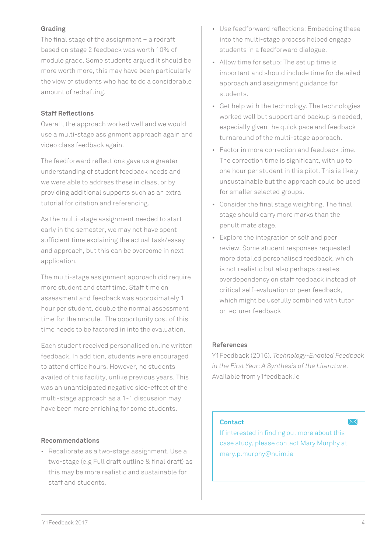## **Grading**

The final stage of the assignment – a redraft based on stage 2 feedback was worth 10% of module grade. Some students argued it should be more worth more, this may have been particularly the view of students who had to do a considerable amount of redrafting.

## **Staff Reflections**

Overall, the approach worked well and we would use a multi-stage assignment approach again and video class feedback again.

The feedforward reflections gave us a greater understanding of student feedback needs and we were able to address these in class, or by providing additional supports such as an extra tutorial for citation and referencing.

As the multi-stage assignment needed to start early in the semester, we may not have spent sufficient time explaining the actual task/essay and approach, but this can be overcome in next application.

The multi-stage assignment approach did require more student and staff time. Staff time on assessment and feedback was approximately 1 hour per student, double the normal assessment time for the module. The opportunity cost of this time needs to be factored in into the evaluation.

Each student received personalised online written feedback. In addition, students were encouraged to attend office hours. However, no students availed of this facility, unlike previous years. This was an unanticipated negative side-effect of the multi-stage approach as a 1-1 discussion may have been more enriching for some students.

#### **Recommendations**

• Recalibrate as a two-stage assignment. Use a two-stage (e.g Full draft outline & final draft) as this may be more realistic and sustainable for staff and students.

- Use feedforward reflections: Embedding these into the multi-stage process helped engage students in a feedforward dialogue.
- Allow time for setup: The set up time is important and should include time for detailed approach and assignment guidance for students.
- Get help with the technology. The technologies worked well but support and backup is needed, especially given the quick pace and feedback turnaround of the multi-stage approach.
- Factor in more correction and feedback time. The correction time is significant, with up to one hour per student in this pilot. This is likely unsustainable but the approach could be used for smaller selected groups.
- Consider the final stage weighting. The final stage should carry more marks than the penultimate stage.
- Explore the integration of self and peer review. Some student responses requested more detailed personalised feedback, which is not realistic but also perhaps creates overdependency on staff feedback instead of critical self-evaluation or peer feedback, which might be usefully combined with tutor or lecturer feedback

## **References**

Y1Feedback (2016). *Technology-Enabled Feedback in the First Year: A Synthesis of the Literature*. Available from y1feedback.ie

## **Contact**

If interested in finding out more about this case study, please contact Mary Murphy at mary.p.murphy@nuim.ie

 $\searrow$